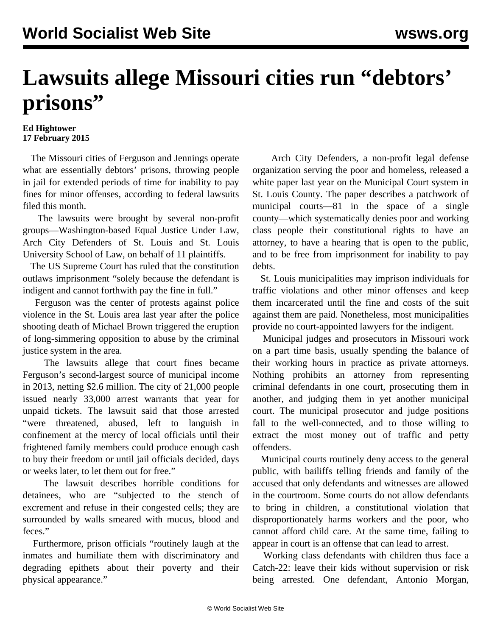## **Lawsuits allege Missouri cities run "debtors' prisons"**

## **Ed Hightower 17 February 2015**

 The Missouri cities of Ferguson and Jennings operate what are essentially debtors' prisons, throwing people in jail for extended periods of time for inability to pay fines for minor offenses, according to federal lawsuits filed this month.

 The lawsuits were brought by several non-profit groups—Washington-based Equal Justice Under Law, Arch City Defenders of St. Louis and St. Louis University School of Law, on behalf of 11 plaintiffs.

 The US Supreme Court has ruled that the constitution outlaws imprisonment "solely because the defendant is indigent and cannot forthwith pay the fine in full."

 Ferguson was the center of protests against police violence in the St. Louis area last year after the police shooting death of Michael Brown triggered the eruption of long-simmering opposition to abuse by the criminal justice system in the area.

 The lawsuits allege that court fines became Ferguson's second-largest source of municipal income in 2013, netting \$2.6 million. The city of 21,000 people issued nearly 33,000 arrest warrants that year for unpaid tickets. The lawsuit said that those arrested "were threatened, abused, left to languish in confinement at the mercy of local officials until their frightened family members could produce enough cash to buy their freedom or until jail officials decided, days or weeks later, to let them out for free."

 The lawsuit describes horrible conditions for detainees, who are "subjected to the stench of excrement and refuse in their congested cells; they are surrounded by walls smeared with mucus, blood and feces."

 Furthermore, prison officials "routinely laugh at the inmates and humiliate them with discriminatory and degrading epithets about their poverty and their physical appearance."

 Arch City Defenders, a non-profit legal defense organization serving the poor and homeless, [released a](http://www.archcitydefenders.org/?attachment_id=575) [white paper](http://www.archcitydefenders.org/?attachment_id=575) last year on the Municipal Court system in St. Louis County. The paper describes a patchwork of municipal courts—81 in the space of a single county—which systematically denies poor and working class people their constitutional rights to have an attorney, to have a hearing that is open to the public, and to be free from imprisonment for inability to pay debts.

 St. Louis municipalities may imprison individuals for traffic violations and other minor offenses and keep them incarcerated until the fine and costs of the suit against them are paid. Nonetheless, most municipalities provide no court-appointed lawyers for the indigent.

 Municipal judges and prosecutors in Missouri work on a part time basis, usually spending the balance of their working hours in practice as private attorneys. Nothing prohibits an attorney from representing criminal defendants in one court, prosecuting them in another, and judging them in yet another municipal court. The municipal prosecutor and judge positions fall to the well-connected, and to those willing to extract the most money out of traffic and petty offenders.

 Municipal courts routinely deny access to the general public, with bailiffs telling friends and family of the accused that only defendants and witnesses are allowed in the courtroom. Some courts do not allow defendants to bring in children, a constitutional violation that disproportionately harms workers and the poor, who cannot afford child care. At the same time, failing to appear in court is an offense that can lead to arrest.

 Working class defendants with children thus face a Catch-22: leave their kids without supervision or risk being arrested. One defendant, Antonio Morgan,